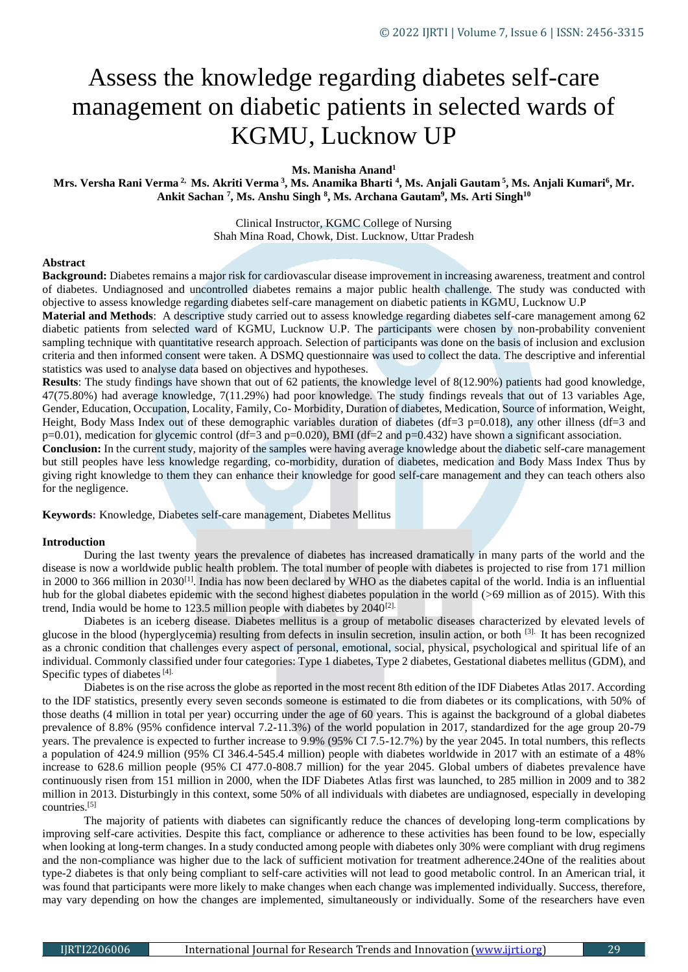# Assess the knowledge regarding diabetes self-care management on diabetic patients in selected wards of KGMU, Lucknow UP

**Ms. Manisha Anand<sup>1</sup>**

**Mrs. Versha Rani Verma 2, Ms. Akriti Verma <sup>3</sup> , Ms. Anamika Bharti <sup>4</sup> , Ms. Anjali Gautam <sup>5</sup> , Ms. Anjali Kumari<sup>6</sup> , Mr. Ankit Sachan <sup>7</sup> , Ms. Anshu Singh <sup>8</sup> , Ms. Archana Gautam<sup>9</sup> , Ms. Arti Singh<sup>10</sup>**

> Clinical Instructor, KGMC College of Nursing Shah Mina Road, Chowk, Dist. Lucknow, Uttar Pradesh

## **Abstract**

**Background:** Diabetes remains a major risk for cardiovascular disease improvement in increasing awareness, treatment and control of diabetes. Undiagnosed and uncontrolled diabetes remains a major public health challenge. The study was conducted with objective to assess knowledge regarding diabetes self-care management on diabetic patients in KGMU, Lucknow U.P

**Material and Methods**: A descriptive study carried out to assess knowledge regarding diabetes self-care management among 62 diabetic patients from selected ward of KGMU, Lucknow U.P. The participants were chosen by non-probability convenient sampling technique with quantitative research approach. Selection of participants was done on the basis of inclusion and exclusion criteria and then informed consent were taken. A DSMQ questionnaire was used to collect the data. The descriptive and inferential statistics was used to analyse data based on objectives and hypotheses.

**Results**: The study findings have shown that out of 62 patients, the knowledge level of 8(12.90%) patients had good knowledge, 47(75.80%) had average knowledge, 7(11.29%) had poor knowledge. The study findings reveals that out of 13 variables Age, Gender, Education, Occupation, Locality, Family, Co- Morbidity, Duration of diabetes, Medication, Source of information, Weight, Height, Body Mass Index out of these demographic variables duration of diabetes (df=3 p=0.018), any other illness (df=3 and p=0.01), medication for glycemic control (df=3 and p=0.020), BMI (df=2 and p=0.432) have shown a significant association.

**Conclusion:** In the current study, majority of the samples were having average knowledge about the diabetic self-care management but still peoples have less knowledge regarding, co-morbidity, duration of diabetes, medication and Body Mass Index Thus by giving right knowledge to them they can enhance their knowledge for good self-care management and they can teach others also for the negligence.

**Keywords:** Knowledge, Diabetes self-care management, Diabetes Mellitus

#### **Introduction**

During the last twenty years the prevalence of diabetes has increased dramatically in many parts of the world and the disease is now a worldwide public health problem. The total number of people with diabetes is projected to rise from 171 million in 2000 to 366 million in 2030[1]. India has now been declared by WHO as the diabetes capital of the world. India is an influential hub for the global diabetes epidemic with the second highest diabetes population in the world (>69 million as of 2015). With this trend, India would be home to 123.5 million people with diabetes by  $2040^{[2]}$ .

Diabetes is an iceberg disease. Diabetes mellitus is a group of metabolic diseases characterized by elevated levels of glucose in the blood (hyperglycemia) resulting from defects in insulin secretion, insulin action, or both [3]. It has been recognized as a chronic condition that challenges every aspect of personal, emotional, social, physical, psychological and spiritual life of an individual. Commonly classified under four categories: Type 1 diabetes, Type 2 diabetes, Gestational diabetes mellitus (GDM), and Specific types of diabetes  $[4]$ .

Diabetes is on the rise across the globe as reported in the most recent 8th edition of the IDF Diabetes Atlas 2017. According to the IDF statistics, presently every seven seconds someone is estimated to die from diabetes or its complications, with 50% of those deaths (4 million in total per year) occurring under the age of 60 years. This is against the background of a global diabetes prevalence of 8.8% (95% confidence interval 7.2-11.3%) of the world population in 2017, standardized for the age group 20-79 years. The prevalence is expected to further increase to 9.9% (95% CI 7.5-12.7%) by the year 2045. In total numbers, this reflects a population of 424.9 million (95% CI 346.4-545.4 million) people with diabetes worldwide in 2017 with an estimate of a 48% increase to 628.6 million people (95% CI 477.0-808.7 million) for the year 2045. Global umbers of diabetes prevalence have continuously risen from 151 million in 2000, when the IDF Diabetes Atlas first was launched, to 285 million in 2009 and to 382 million in 2013. Disturbingly in this context, some 50% of all individuals with diabetes are undiagnosed, especially in developing countries.[5]

The majority of patients with diabetes can significantly reduce the chances of developing long-term complications by improving self-care activities. Despite this fact, compliance or adherence to these activities has been found to be low, especially when looking at long-term changes. In a study conducted among people with diabetes only 30% were compliant with drug regimens and the non-compliance was higher due to the lack of sufficient motivation for treatment adherence.24One of the realities about type-2 diabetes is that only being compliant to self-care activities will not lead to good metabolic control. In an American trial, it was found that participants were more likely to make changes when each change was implemented individually. Success, therefore, may vary depending on how the changes are implemented, simultaneously or individually. Some of the researchers have even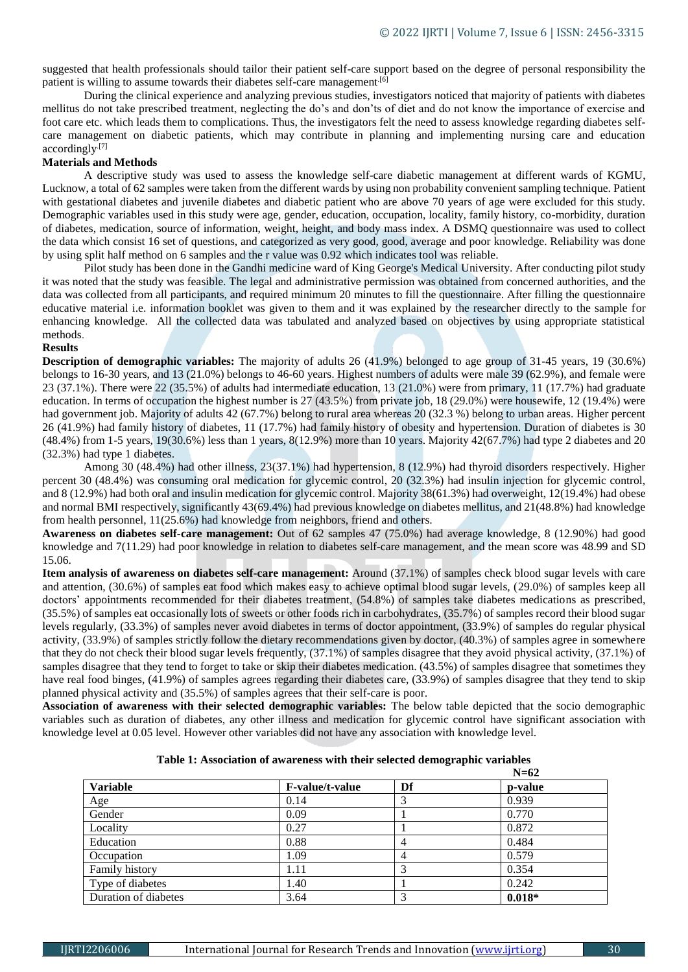suggested that health professionals should tailor their patient self-care support based on the degree of personal responsibility the patient is willing to assume towards their diabetes self-care management<sup>[6]</sup>

During the clinical experience and analyzing previous studies, investigators noticed that majority of patients with diabetes mellitus do not take prescribed treatment, neglecting the do's and don'ts of diet and do not know the importance of exercise and foot care etc. which leads them to complications. Thus, the investigators felt the need to assess knowledge regarding diabetes selfcare management on diabetic patients, which may contribute in planning and implementing nursing care and education accordingly.[7]

# **Materials and Methods**

A descriptive study was used to assess the knowledge self-care diabetic management at different wards of KGMU, Lucknow, a total of 62 samples were taken from the different wards by using non probability convenient sampling technique. Patient with gestational diabetes and juvenile diabetes and diabetic patient who are above 70 years of age were excluded for this study. Demographic variables used in this study were age, gender, education, occupation, locality, family history, co-morbidity, duration of diabetes, medication, source of information, weight, height, and body mass index. A DSMQ questionnaire was used to collect the data which consist 16 set of questions, and categorized as very good, good, average and poor knowledge. Reliability was done by using split half method on 6 samples and the r value was 0.92 which indicates tool was reliable.

Pilot study has been done in the Gandhi medicine ward of King George's Medical University. After conducting pilot study it was noted that the study was feasible. The legal and administrative permission was obtained from concerned authorities, and the data was collected from all participants, and required minimum 20 minutes to fill the questionnaire. After filling the questionnaire educative material i.e. information booklet was given to them and it was explained by the researcher directly to the sample for enhancing knowledge. All the collected data was tabulated and analyzed based on objectives by using appropriate statistical methods.

# **Results**

**Description of demographic variables:** The majority of adults 26 (41.9%) belonged to age group of 31-45 years, 19 (30.6%) belongs to 16-30 years, and 13 (21.0%) belongs to 46-60 years. Highest numbers of adults were male 39 (62.9%), and female were 23 (37.1%). There were 22 (35.5%) of adults had intermediate education, 13 (21.0%) were from primary, 11 (17.7%) had graduate education. In terms of occupation the highest number is 27 (43.5%) from private job, 18 (29.0%) were housewife, 12 (19.4%) were had government job. Majority of adults 42 (67.7%) belong to rural area whereas 20 (32.3 %) belong to urban areas. Higher percent 26 (41.9%) had family history of diabetes, 11 (17.7%) had family history of obesity and hypertension. Duration of diabetes is 30 (48.4%) from 1-5 years, 19(30.6%) less than 1 years, 8(12.9%) more than 10 years. Majority 42(67.7%) had type 2 diabetes and 20 (32.3%) had type 1 diabetes.

Among 30 (48.4%) had other illness, 23(37.1%) had hypertension, 8 (12.9%) had thyroid disorders respectively. Higher percent 30 (48.4%) was consuming oral medication for glycemic control, 20 (32.3%) had insulin injection for glycemic control, and 8 (12.9%) had both oral and insulin medication for glycemic control. Majority 38(61.3%) had overweight, 12(19.4%) had obese and normal BMI respectively, significantly 43(69.4%) had previous knowledge on diabetes mellitus, and 21(48.8%) had knowledge from health personnel, 11(25.6%) had knowledge from neighbors, friend and others.

**Awareness on diabetes self-care management:** Out of 62 samples 47 (75.0%) had average knowledge, 8 (12.90%) had good knowledge and 7(11.29) had poor knowledge in relation to diabetes self-care management, and the mean score was 48.99 and SD 15.06.

**Item analysis of awareness on diabetes self-care management:** Around (37.1%) of samples check blood sugar levels with care and attention, (30.6%) of samples eat food which makes easy to achieve optimal blood sugar levels, (29.0%) of samples keep all doctors' appointments recommended for their diabetes treatment, (54.8%) of samples take diabetes medications as prescribed, (35.5%) of samples eat occasionally lots of sweets or other foods rich in carbohydrates, (35.7%) of samples record their blood sugar levels regularly, (33.3%) of samples never avoid diabetes in terms of doctor appointment, (33.9%) of samples do regular physical activity, (33.9%) of samples strictly follow the dietary recommendations given by doctor, (40.3%) of samples agree in somewhere that they do not check their blood sugar levels frequently, (37.1%) of samples disagree that they avoid physical activity, (37.1%) of samples disagree that they tend to forget to take or skip their diabetes medication. (43.5%) of samples disagree that sometimes they have real food binges, (41.9%) of samples agrees regarding their diabetes care, (33.9%) of samples disagree that they tend to skip planned physical activity and (35.5%) of samples agrees that their self-care is poor.

**Association of awareness with their selected demographic variables:** The below table depicted that the socio demographic variables such as duration of diabetes, any other illness and medication for glycemic control have significant association with knowledge level at 0.05 level. However other variables did not have any association with knowledge level.

|                      |                        | $N=62$ |          |  |
|----------------------|------------------------|--------|----------|--|
| <b>Variable</b>      | <b>F-value/t-value</b> | Df     | p-value  |  |
| Age                  | 0.14                   |        | 0.939    |  |
| Gender               | 0.09                   |        | 0.770    |  |
| Locality             | 0.27                   |        | 0.872    |  |
| Education            | 0.88                   | 4      | 0.484    |  |
| Occupation           | 1.09                   | 4      | 0.579    |  |
| Family history       | 1.11                   |        | 0.354    |  |
| Type of diabetes     | 1.40                   |        | 0.242    |  |
| Duration of diabetes | 3.64                   |        | $0.018*$ |  |

#### **Table 1: Association of awareness with their selected demographic variables**